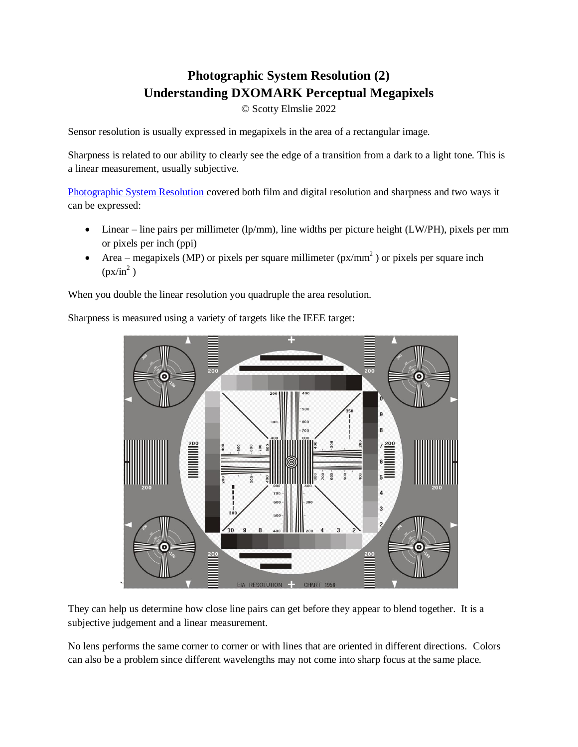# **Photographic System Resolution (2) Understanding DXOMARK Perceptual Megapixels**

© Scotty Elmslie 2022

Sensor resolution is usually expressed in megapixels in the area of a rectangular image.

Sharpness is related to our ability to clearly see the edge of a transition from a dark to a light tone. This is a linear measurement, usually subjective.

[Photographic System Resolution](https://www.scotty-elmslie.com/uploads/5/6/3/3/56337819/photographic_system_resolution.pdf) covered both film and digital resolution and sharpness and two ways it can be expressed:

- Linear line pairs per millimeter (lp/mm), line widths per picture height (LW/PH), pixels per mm or pixels per inch (ppi)
- Area megapixels (MP) or pixels per square millimeter ( $px/mm<sup>2</sup>$ ) or pixels per square inch  $(px/in^2)$

When you double the linear resolution you quadruple the area resolution.

Sharpness is measured using a variety of targets like the IEEE target:



They can help us determine how close line pairs can get before they appear to blend together. It is a subjective judgement and a linear measurement.

No lens performs the same corner to corner or with lines that are oriented in different directions. Colors can also be a problem since different wavelengths may not come into sharp focus at the same place.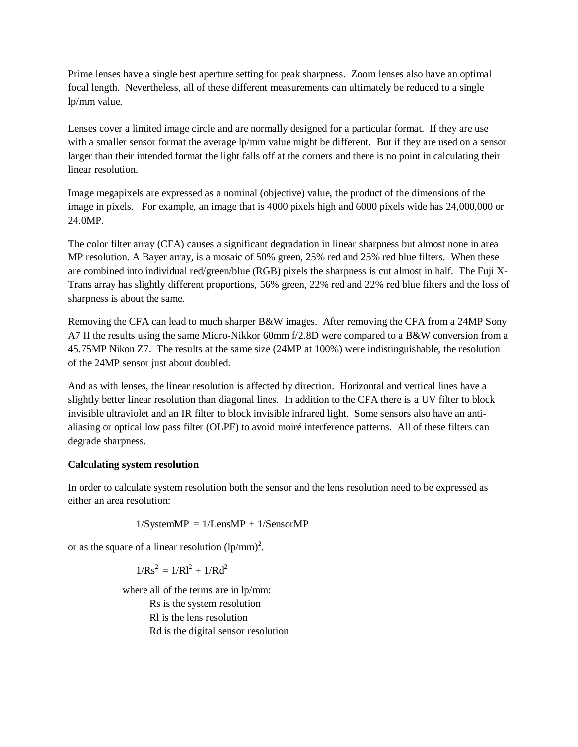Prime lenses have a single best aperture setting for peak sharpness. Zoom lenses also have an optimal focal length. Nevertheless, all of these different measurements can ultimately be reduced to a single lp/mm value.

Lenses cover a limited image circle and are normally designed for a particular format. If they are use with a smaller sensor format the average lp/mm value might be different. But if they are used on a sensor larger than their intended format the light falls off at the corners and there is no point in calculating their linear resolution.

Image megapixels are expressed as a nominal (objective) value, the product of the dimensions of the image in pixels. For example, an image that is 4000 pixels high and 6000 pixels wide has 24,000,000 or 24.0MP.

The color filter array (CFA) causes a significant degradation in linear sharpness but almost none in area MP resolution. A Bayer array, is a mosaic of 50% green, 25% red and 25% red blue filters. When these are combined into individual red/green/blue (RGB) pixels the sharpness is cut almost in half. The Fuji X-Trans array has slightly different proportions, 56% green, 22% red and 22% red blue filters and the loss of sharpness is about the same.

Removing the CFA can lead to much sharper B&W images. After removing the CFA from a 24MP Sony A7 II the results using the same Micro-Nikkor 60mm f/2.8D were compared to a B&W conversion from a 45.75MP Nikon Z7. The results at the same size (24MP at 100%) were indistinguishable, the resolution of the 24MP sensor just about doubled.

And as with lenses, the linear resolution is affected by direction. Horizontal and vertical lines have a slightly better linear resolution than diagonal lines. In addition to the CFA there is a UV filter to block invisible ultraviolet and an IR filter to block invisible infrared light. Some sensors also have an antialiasing or optical low pass filter (OLPF) to avoid moiré interference patterns. All of these filters can degrade sharpness.

# **Calculating system resolution**

In order to calculate system resolution both the sensor and the lens resolution need to be expressed as either an area resolution:

$$
1/SystemMP = 1/LensMP + 1/SensorMP
$$

or as the square of a linear resolution  $\left(\frac{lp}{mm}\right)^2$ .

 $1/Rs^2 = 1/Rl^2 + 1/Rd^2$ 

where all of the terms are in lp/mm: Rs is the system resolution Rl is the lens resolution Rd is the digital sensor resolution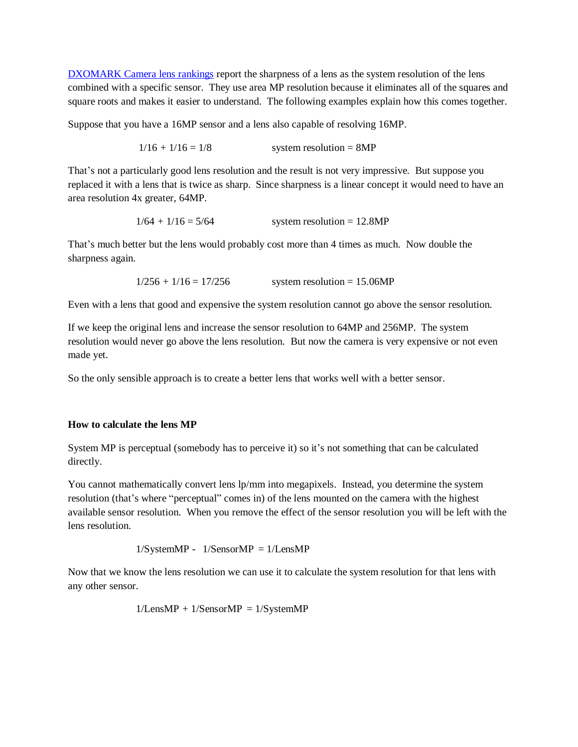[DXOMARK Camera lens rankings](https://www.dxomark.com/Lenses/) report the sharpness of a lens as the system resolution of the lens combined with a specific sensor. They use area MP resolution because it eliminates all of the squares and square roots and makes it easier to understand. The following examples explain how this comes together.

Suppose that you have a 16MP sensor and a lens also capable of resolving 16MP.

 $1/16 + 1/16 = 1/8$  system resolution = 8MP

That's not a particularly good lens resolution and the result is not very impressive. But suppose you replaced it with a lens that is twice as sharp. Since sharpness is a linear concept it would need to have an area resolution 4x greater, 64MP.

 $1/64 + 1/16 = 5/64$  system resolution = 12.8MP

That's much better but the lens would probably cost more than 4 times as much. Now double the sharpness again.

 $1/256 + 1/16 = 17/256$  system resolution = 15.06MP

Even with a lens that good and expensive the system resolution cannot go above the sensor resolution.

If we keep the original lens and increase the sensor resolution to 64MP and 256MP. The system resolution would never go above the lens resolution. But now the camera is very expensive or not even made yet.

So the only sensible approach is to create a better lens that works well with a better sensor.

#### **How to calculate the lens MP**

System MP is perceptual (somebody has to perceive it) so it's not something that can be calculated directly.

You cannot mathematically convert lens lp/mm into megapixels. Instead, you determine the system resolution (that's where "perceptual" comes in) of the lens mounted on the camera with the highest available sensor resolution. When you remove the effect of the sensor resolution you will be left with the lens resolution.

$$
1/SystemMP - 1/SensorMP = 1/LensMP
$$

Now that we know the lens resolution we can use it to calculate the system resolution for that lens with any other sensor.

 $1/LensMP + 1/SensorMP = 1/SystemMP$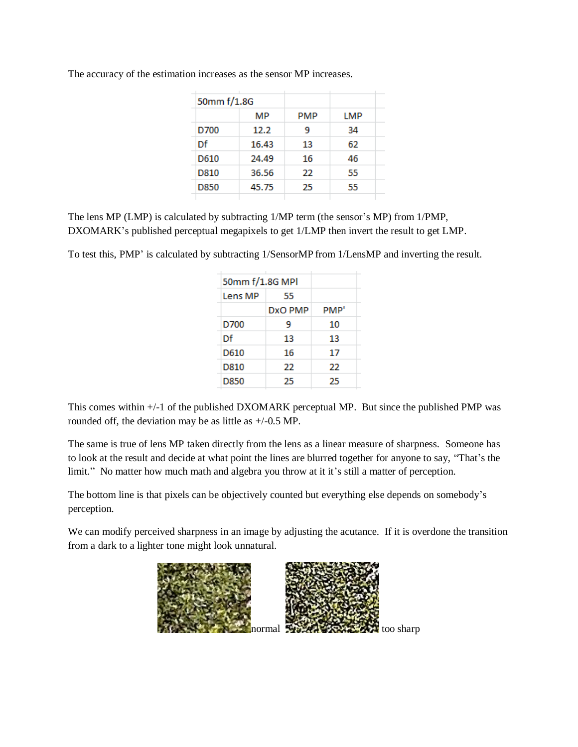| 50mm f/1.8G |       |     |     |  |
|-------------|-------|-----|-----|--|
|             | МP    | PMP | LMP |  |
| D700        | 12.2  | 9   | 34  |  |
| Df          | 16.43 | 13  | 62  |  |
| D610        | 24.49 | 16  | 46  |  |
| D810        | 36.56 | 22  | 55  |  |
| D850        | 45.75 | 25  | 55  |  |
|             |       |     |     |  |

The accuracy of the estimation increases as the sensor MP increases.

The lens MP (LMP) is calculated by subtracting 1/MP term (the sensor's MP) from 1/PMP, DXOMARK's published perceptual megapixels to get 1/LMP then invert the result to get LMP.

To test this, PMP' is calculated by subtracting 1/SensorMP from 1/LensMP and inverting the result.

| 50mm f/1.8G MPI |         |      |  |  |
|-----------------|---------|------|--|--|
| Lens MP         | 55      |      |  |  |
|                 | DxO PMP | PMP' |  |  |
| D700            | 9       | 10   |  |  |
| Df              | 13      | 13   |  |  |
| D610            | 16      | 17   |  |  |
| D810            | 22      | 22   |  |  |
| D850            | 25      | 25   |  |  |
|                 |         |      |  |  |

This comes within +/-1 of the published DXOMARK perceptual MP. But since the published PMP was rounded off, the deviation may be as little as +/-0.5 MP.

The same is true of lens MP taken directly from the lens as a linear measure of sharpness. Someone has to look at the result and decide at what point the lines are blurred together for anyone to say, "That's the limit." No matter how much math and algebra you throw at it it's still a matter of perception.

The bottom line is that pixels can be objectively counted but everything else depends on somebody's perception.

We can modify perceived sharpness in an image by adjusting the acutance. If it is overdone the transition from a dark to a lighter tone might look unnatural.

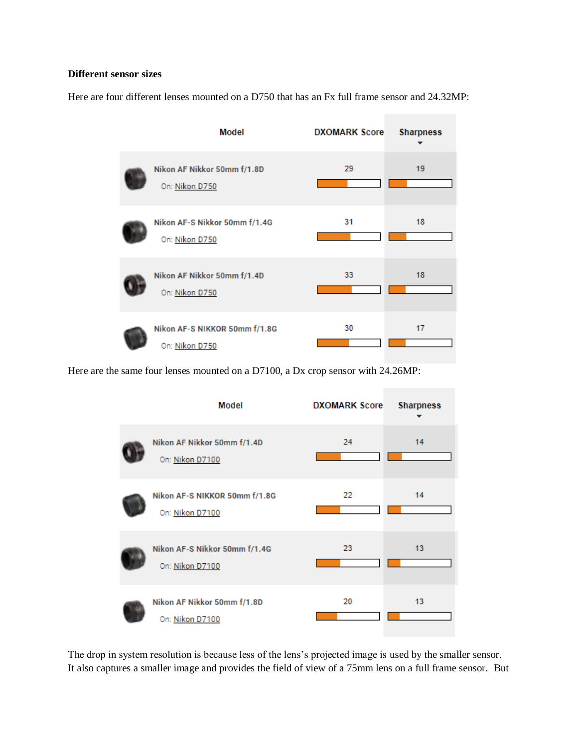### **Different sensor sizes**

Here are four different lenses mounted on a D750 that has an Fx full frame sensor and 24.32MP:

| Model                                           | <b>DXOMARK Score</b> | <b>Sharpness</b> |
|-------------------------------------------------|----------------------|------------------|
| Nikon AF Nikkor 50mm f/1.8D<br>On: Nikon D750   | 29                   | 19               |
| Nikon AF-S Nikkor 50mm f/1.4G<br>On: Nikon D750 | 31                   | 18               |
| Nikon AF Nikkor 50mm f/1.4D<br>On: Nikon D750   | 33                   | 18               |
| Nikon AF-S NIKKOR 50mm f/1.8G<br>On: Nikon D750 | 30                   | 17               |

Here are the same four lenses mounted on a D7100, a Dx crop sensor with 24.26MP:



The drop in system resolution is because less of the lens's projected image is used by the smaller sensor. It also captures a smaller image and provides the field of view of a 75mm lens on a full frame sensor. But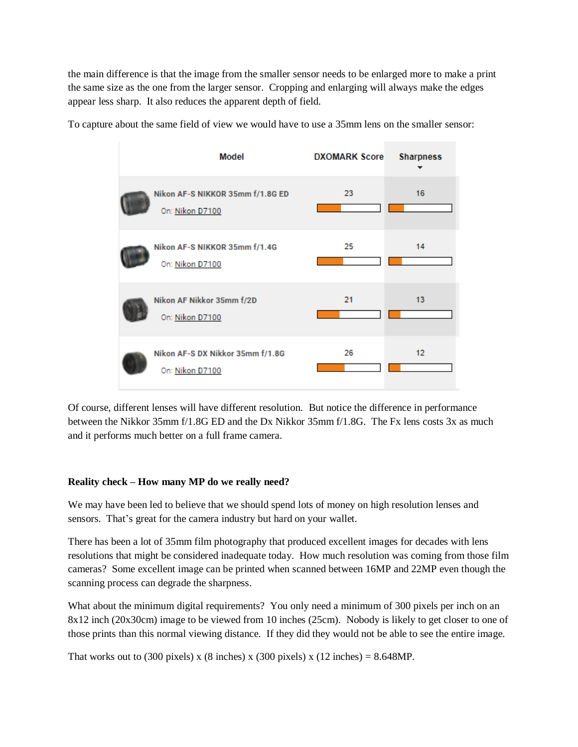the main difference is that the image from the smaller sensor needs to be enlarged more to make a print the same size as the one from the larger sensor. Cropping and enlarging will always make the edges appear less sharp. It also reduces the apparent depth of field.



To capture about the same field of view we would have to use a 35mm lens on the smaller sensor:

Of course, different lenses will have different resolution. But notice the difference in performance between the Nikkor 35mm f/1.8G ED and the Dx Nikkor 35mm f/1.8G. The Fx lens costs 3x as much and it performs much better on a full frame camera.

# **Reality check – How many MP do we really need?**

We may have been led to believe that we should spend lots of money on high resolution lenses and sensors. That's great for the camera industry but hard on your wallet.

There has been a lot of 35mm film photography that produced excellent images for decades with lens resolutions that might be considered inadequate today. How much resolution was coming from those film cameras? Some excellent image can be printed when scanned between 16MP and 22MP even though the scanning process can degrade the sharpness.

What about the minimum digital requirements? You only need a minimum of 300 pixels per inch on an 8x12 inch (20x30cm) image to be viewed from 10 inches (25cm). Nobody is likely to get closer to one of those prints than this normal viewing distance. If they did they would not be able to see the entire image.

That works out to (300 pixels) x (8 inches) x (300 pixels) x (12 inches) =  $8.648MP$ .